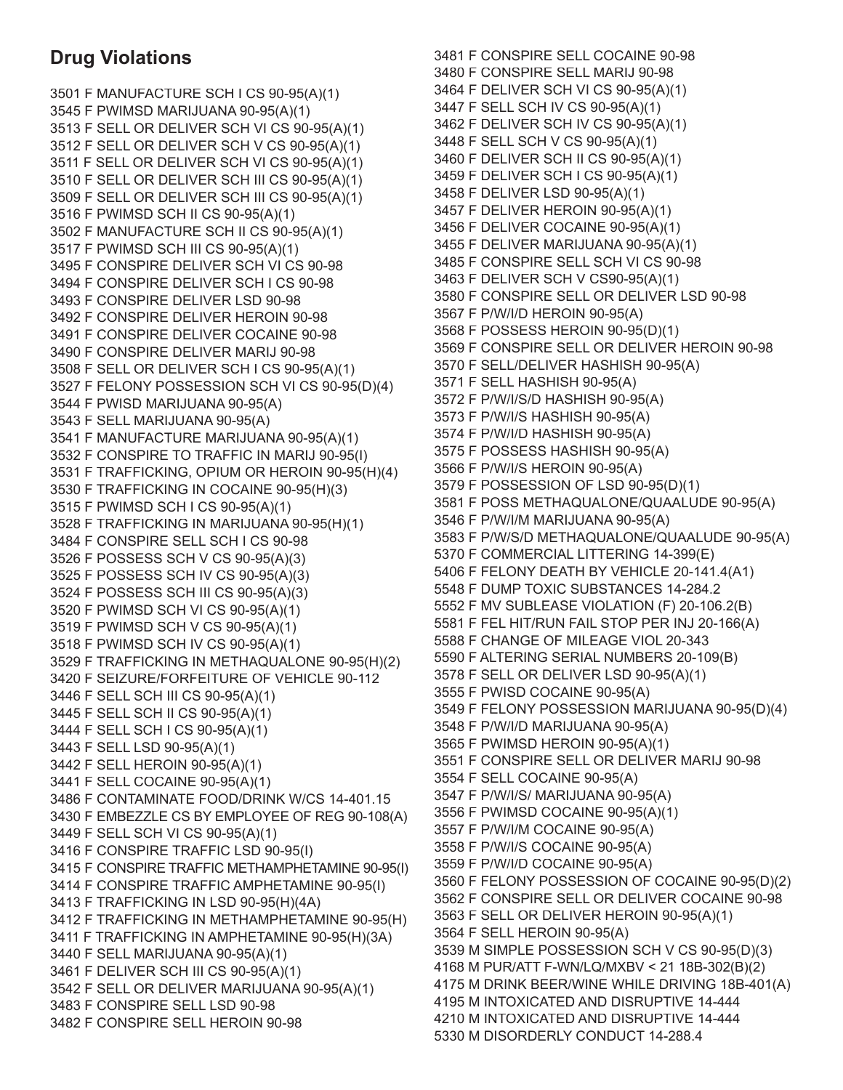## **Drug Violations**

3501 F MANUFACTURE SCH I CS 90-95(A)(1) 3545 F PWIMSD MARIJUANA 90-95(A)(1) 3513 F SELL OR DELIVER SCH VI CS 90-95(A)(1) 3512 F SELL OR DELIVER SCH V CS 90-95(A)(1) 3511 F SELL OR DELIVER SCH VI CS 90-95(A)(1) 3510 F SELL OR DELIVER SCH III CS 90-95(A)(1) 3509 F SELL OR DELIVER SCH III CS 90-95(A)(1) 3516 F PWIMSD SCH II CS 90-95(A)(1) 3502 F MANUFACTURE SCH II CS 90-95(A)(1) 3517 F PWIMSD SCH III CS 90-95(A)(1) 3495 F CONSPIRE DELIVER SCH VI CS 90-98 3494 F CONSPIRE DELIVER SCH I CS 90-98 3493 F CONSPIRE DELIVER LSD 90-98 3492 F CONSPIRE DELIVER HEROIN 90-98 3491 F CONSPIRE DELIVER COCAINE 90-98 3490 F CONSPIRE DELIVER MARIJ 90-98 3508 F SELL OR DELIVER SCH I CS 90-95(A)(1) 3527 F FELONY POSSESSION SCH VI CS 90-95(D)(4) 3544 F PWISD MARIJUANA 90-95(A) 3543 F SELL MARIJUANA 90-95(A) 3541 F MANUFACTURE MARIJUANA 90-95(A)(1) 3532 F CONSPIRE TO TRAFFIC IN MARIJ 90-95(I) 3531 F TRAFFICKING, OPIUM OR HEROIN 90-95(H)(4) 3530 F TRAFFICKING IN COCAINE 90-95(H)(3) 3515 F PWIMSD SCH I CS 90-95(A)(1) 3528 F TRAFFICKING IN MARIJUANA 90-95(H)(1) 3484 F CONSPIRE SELL SCH I CS 90-98 3526 F POSSESS SCH V CS 90-95(A)(3) 3525 F POSSESS SCH IV CS 90-95(A)(3) 3524 F POSSESS SCH III CS 90-95(A)(3) 3520 F PWIMSD SCH VI CS 90-95(A)(1) 3519 F PWIMSD SCH V CS 90-95(A)(1) 3518 F PWIMSD SCH IV CS 90-95(A)(1) 3529 F TRAFFICKING IN METHAQUALONE 90-95(H)(2) 3420 F SEIZURE/FORFEITURE OF VEHICLE 90-112 3446 F SELL SCH III CS 90-95(A)(1) 3445 F SELL SCH II CS 90-95(A)(1) 3444 F SELL SCH I CS 90-95(A)(1) 3443 F SELL LSD 90-95(A)(1) 3442 F SELL HEROIN 90-95(A)(1) 3441 F SELL COCAINE 90-95(A)(1) 3486 F CONTAMINATE FOOD/DRINK W/CS 14-401.15 3430 F EMBEZZLE CS BY EMPLOYEE OF REG 90-108(A) 3449 F SELL SCH VI CS 90-95(A)(1) 3416 F CONSPIRE TRAFFIC LSD 90-95(I) 3415 F CONSPIRE TRAFFIC METHAMPHETAMINE 90-95(I) 3414 F CONSPIRE TRAFFIC AMPHETAMINE 90-95(I) 3413 F TRAFFICKING IN LSD 90-95(H)(4A) 3412 F TRAFFICKING IN METHAMPHETAMINE 90-95(H) 3411 F TRAFFICKING IN AMPHETAMINE 90-95(H)(3A) 3440 F SELL MARIJUANA 90-95(A)(1) 3461 F DELIVER SCH III CS 90-95(A)(1) 3542 F SELL OR DELIVER MARIJUANA 90-95(A)(1) 3483 F CONSPIRE SELL LSD 90-98 3482 F CONSPIRE SELL HEROIN 90-98

3481 F CONSPIRE SELL COCAINE 90-98 3480 F CONSPIRE SELL MARIJ 90-98 3464 F DELIVER SCH VI CS 90-95(A)(1) 3447 F SELL SCH IV CS 90-95(A)(1) 3462 F DELIVER SCH IV CS 90-95(A)(1) 3448 F SELL SCH V CS 90-95(A)(1) 3460 F DELIVER SCH II CS 90-95(A)(1) 3459 F DELIVER SCH I CS 90-95(A)(1) 3458 F DELIVER LSD 90-95(A)(1) 3457 F DELIVER HEROIN 90-95(A)(1) 3456 F DELIVER COCAINE 90-95(A)(1) 3455 F DELIVER MARIJUANA 90-95(A)(1) 3485 F CONSPIRE SELL SCH VI CS 90-98 3463 F DELIVER SCH V CS90-95(A)(1) 3580 F CONSPIRE SELL OR DELIVER LSD 90-98 3567 F P/W/I/D HEROIN 90-95(A) 3568 F POSSESS HEROIN 90-95(D)(1) 3569 F CONSPIRE SELL OR DELIVER HEROIN 90-98 3570 F SELL/DELIVER HASHISH 90-95(A) 3571 F SELL HASHISH 90-95(A) 3572 F P/W/I/S/D HASHISH 90-95(A) 3573 F P/W/I/S HASHISH 90-95(A) 3574 F P/W/I/D HASHISH 90-95(A) 3575 F POSSESS HASHISH 90-95(A) 3566 F P/W/I/S HEROIN 90-95(A) 3579 F POSSESSION OF LSD 90-95(D)(1) 3581 F POSS METHAQUALONE/QUAALUDE 90-95(A) 3546 F P/W/I/M MARIJUANA 90-95(A) 3583 F P/W/S/D METHAQUALONE/QUAALUDE 90-95(A) 5370 F COMMERCIAL LITTERING 14-399(E) 5406 F FELONY DEATH BY VEHICLE 20-141.4(A1) 5548 F DUMP TOXIC SUBSTANCES 14-284.2 5552 F MV SUBLEASE VIOLATION (F) 20-106.2(B) 5581 F FEL HIT/RUN FAIL STOP PER INJ 20-166(A) 5588 F CHANGE OF MILEAGE VIOL 20-343 5590 F ALTERING SERIAL NUMBERS 20-109(B) 3578 F SELL OR DELIVER LSD 90-95(A)(1) 3555 F PWISD COCAINE 90-95(A) 3549 F FELONY POSSESSION MARIJUANA 90-95(D)(4) 3548 F P/W/I/D MARIJUANA 90-95(A) 3565 F PWIMSD HEROIN 90-95(A)(1) 3551 F CONSPIRE SELL OR DELIVER MARIJ 90-98 3554 F SELL COCAINE 90-95(A) 3547 F P/W/I/S/ MARIJUANA 90-95(A) 3556 F PWIMSD COCAINE 90-95(A)(1) 3557 F P/W/I/M COCAINE 90-95(A) 3558 F P/W/I/S COCAINE 90-95(A) 3559 F P/W/I/D COCAINE 90-95(A) 3560 F FELONY POSSESSION OF COCAINE 90-95(D)(2) 3562 F CONSPIRE SELL OR DELIVER COCAINE 90-98 3563 F SELL OR DELIVER HEROIN 90-95(A)(1) 3564 F SELL HEROIN 90-95(A) 3539 M SIMPLE POSSESSION SCH V CS 90-95(D)(3) 4168 M PUR/ATT F-WN/LQ/MXBV < 21 18B-302(B)(2) 4175 M DRINK BEER/WINE WHILE DRIVING 18B-401(A) 4195 M INTOXICATED AND DISRUPTIVE 14-444 4210 M INTOXICATED AND DISRUPTIVE 14-444 5330 M DISORDERLY CONDUCT 14-288.4